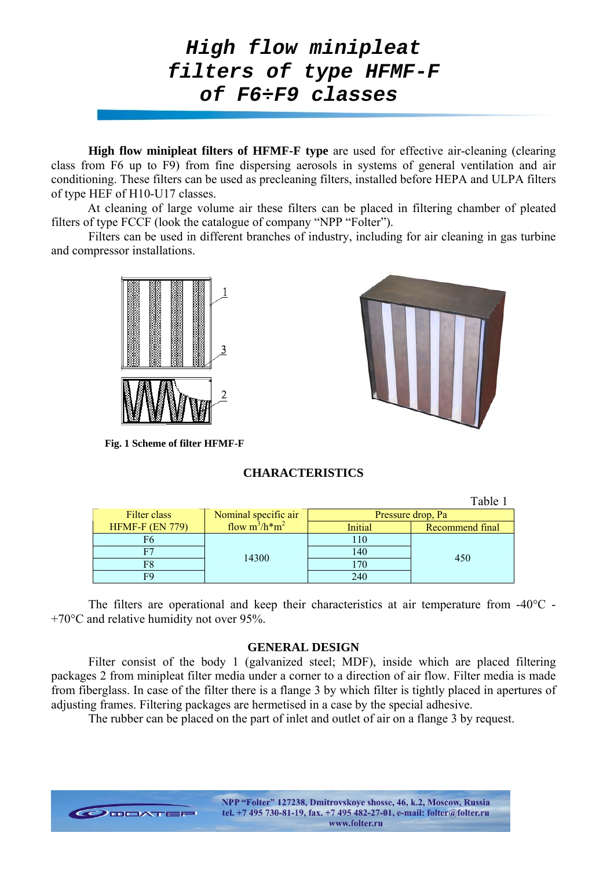

**High flow minipleat filters of HFMF-F type** are used for effective air-cleaning (clearing class from F6 up to F9) from fine dispersing aerosols in systems of general ventilation and air conditioning. These filters can be used as precleaning filters, installed before HEPA and ULPA filters of type HEF of H10-U17 classes.

At cleaning of large volume air these filters can be placed in filtering chamber of pleated filters of type FCCF (look the catalogue of company "NPP "Folter").

Filters can be used in different branches of industry, including for air cleaning in gas turbine and compressor installations.



**Fig. 1 Scheme of filter HFMF-F** 

# **CHARACTERISTICS**

|                        |                      |                   | Table 1         |  |
|------------------------|----------------------|-------------------|-----------------|--|
| Filter class           | Nominal specific air | Pressure drop, Pa |                 |  |
| <b>HFMF-F (EN 779)</b> | flow $m^3/h*m^2$     | Initial           | Recommend final |  |
| Fб                     | 14300                | 110               | 450             |  |
|                        |                      | 140               |                 |  |
| F8                     |                      | 170               |                 |  |
| F9                     |                      | 240               |                 |  |

The filters are operational and keep their characteristics at air temperature from -40°C -+70°С and relative humidity not over 95%.

### **GENERAL DESIGN**

Filter consist of the body 1 (galvanized steel: MDF), inside which are placed filtering packages 2 from minipleat filter media under a corner to a direction of air flow. Filter media is made from fiberglass. In case of the filter there is a flange 3 by which filter is tightly placed in apertures of adjusting frames. Filtering packages are hermetised in a case by the special adhesive.

The rubber can be placed on the part of inlet and outlet of air on a flange 3 by request.